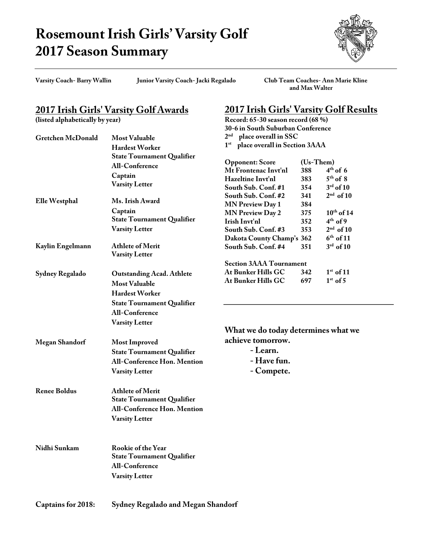## **Rosemount Irish Girls' Varsity Golf 2017 Season Summary**



**Varsity Coach- Barry Wallin Junior Varsity Coach- Jacki Regalado Club Team Coaches- Ann Marie Kline and Max Walter**

**2017 Irish Girls' Varsity Golf Results**

**Record: 65-30 season record (68 %)**

## **2017 Irish Girls' Varsity Golf Awards**

**(listed alphabetically by year)**

|                       |                                           | 30-6 in South Suburban Conference             |            |                         |
|-----------------------|-------------------------------------------|-----------------------------------------------|------------|-------------------------|
| Gretchen McDonald     | <b>Most Valuable</b>                      | 2 <sup>nd</sup><br>place overall in SSC       |            |                         |
|                       | Hardest Worker                            | 1 <sup>st</sup> place overall in Section 3AAA |            |                         |
|                       | <b>State Tournament Qualifier</b>         |                                               |            |                         |
|                       | <b>All-Conference</b>                     | <b>Opponent: Score</b>                        | (Us-Them)  |                         |
|                       | Captain                                   | Mt Frontenac Invt'nl                          | 388        | $4th$ of 6              |
|                       | <b>Varsity Letter</b>                     | Hazeltine Invt'nl                             | 383        | $5th$ of 8              |
|                       |                                           | South Sub. Conf. #1                           | 354        | $3rd$ of 10             |
| Elle Westphal         | Ms. Irish Award                           | South Sub. Conf. #2                           | 341        | $2nd$ of 10             |
|                       | Captain                                   | <b>MN Preview Day 1</b>                       | 384        | $10th$ of 14            |
|                       | <b>State Tournament Qualifier</b>         | <b>MN Preview Day 2</b><br>Irish Invt'nl      | 375<br>352 | $4th$ of 9              |
|                       | <b>Varsity Letter</b>                     | South Sub. Conf. #3                           | 353        | $2nd$ of 10             |
|                       |                                           | Dakota County Champ's 362                     |            | $6th$ of 11             |
| Kaylin Engelmann      | Athlete of Merit                          | South Sub. Conf. #4                           | 351        | $3^{\text{rd}}$ of $10$ |
|                       | <b>Varsity Letter</b>                     |                                               |            |                         |
|                       |                                           | <b>Section 3AAA Tournament</b>                |            |                         |
|                       |                                           | At Bunker Hills GC                            | 342        | $1st$ of 11             |
| Sydney Regalado       | <b>Outstanding Acad. Athlete</b>          | At Bunker Hills GC                            | 697        | $1st$ of 5              |
|                       | <b>Most Valuable</b>                      |                                               |            |                         |
|                       | Hardest Worker                            |                                               |            |                         |
|                       | <b>State Tournament Qualifier</b>         |                                               |            |                         |
|                       | <b>All-Conference</b>                     |                                               |            |                         |
|                       | <b>Varsity Letter</b>                     |                                               |            |                         |
|                       |                                           | What we do today determines what we           |            |                         |
| <b>Megan Shandorf</b> | <b>Most Improved</b>                      | achieve tomorrow.                             |            |                         |
|                       | <b>State Tournament Qualifier</b>         | - Learn.                                      |            |                         |
|                       | All-Conference Hon. Mention               | - Have fun.                                   |            |                         |
|                       |                                           |                                               |            |                         |
|                       | <b>Varsity Letter</b>                     | - Compete.                                    |            |                         |
| <b>Renee Boldus</b>   | <b>Athlete of Merit</b>                   |                                               |            |                         |
|                       | <b>State Tournament Qualifier</b>         |                                               |            |                         |
|                       | <b>All-Conference Hon. Mention</b>        |                                               |            |                         |
|                       | <b>Varsity Letter</b>                     |                                               |            |                         |
|                       |                                           |                                               |            |                         |
| Nidhi Sunkam          | Rookie of the Year                        |                                               |            |                         |
|                       | <b>State Tournament Qualifier</b>         |                                               |            |                         |
|                       | All-Conference                            |                                               |            |                         |
|                       |                                           |                                               |            |                         |
|                       | <b>Varsity Letter</b>                     |                                               |            |                         |
| Captains for 2018:    | <b>Sydney Regalado and Megan Shandorf</b> |                                               |            |                         |